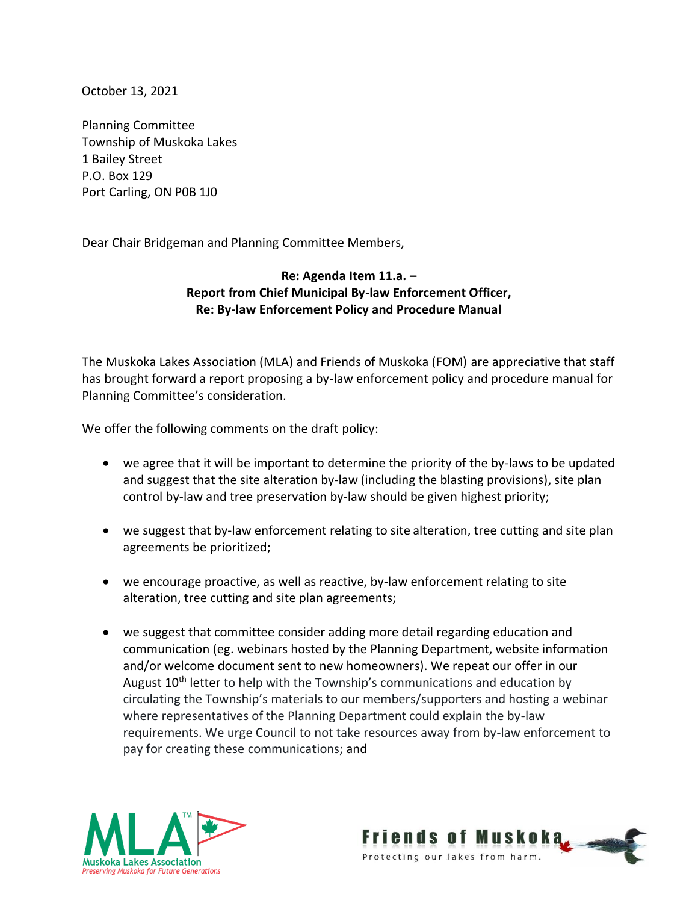October 13, 2021

Planning Committee Township of Muskoka Lakes 1 Bailey Street P.O. Box 129 Port Carling, ON P0B 1J0

Dear Chair Bridgeman and Planning Committee Members,

## **Re: Agenda Item 11.a. – Report from Chief Municipal By-law Enforcement Officer, Re: By-law Enforcement Policy and Procedure Manual**

The Muskoka Lakes Association (MLA) and Friends of Muskoka (FOM) are appreciative that staff has brought forward a report proposing a by-law enforcement policy and procedure manual for Planning Committee's consideration.

We offer the following comments on the draft policy:

- we agree that it will be important to determine the priority of the by-laws to be updated and suggest that the site alteration by-law (including the blasting provisions), site plan control by-law and tree preservation by-law should be given highest priority;
- we suggest that by-law enforcement relating to site alteration, tree cutting and site plan agreements be prioritized;
- we encourage proactive, as well as reactive, by-law enforcement relating to site alteration, tree cutting and site plan agreements;
- we suggest that committee consider adding more detail regarding education and communication (eg. webinars hosted by the Planning Department, website information and/or welcome document sent to new homeowners). We repeat our offer in our August  $10<sup>th</sup>$  letter to help with the Township's communications and education by circulating the Township's materials to our members/supporters and hosting a webinar where representatives of the Planning Department could explain the by-law requirements. We urge Council to not take resources away from by-law enforcement to pay for creating these communications; and